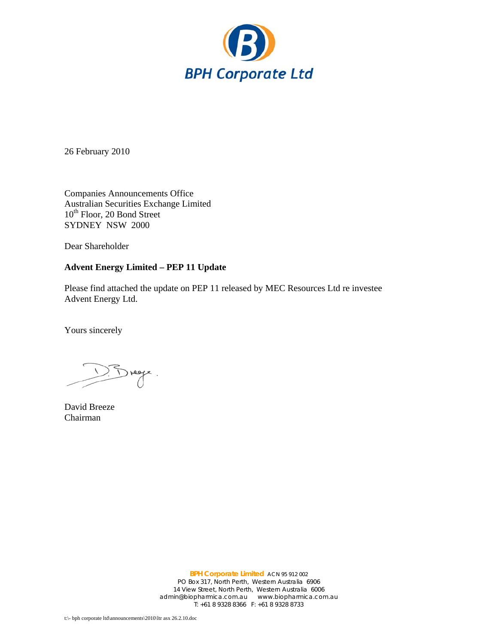

26 February 2010

Companies Announcements Office Australian Securities Exchange Limited 10<sup>th</sup> Floor, 20 Bond Street SYDNEY NSW 2000

Dear Shareholder

# **Advent Energy Limited – PEP 11 Update**

Please find attached the update on PEP 11 released by MEC Resources Ltd re investee Advent Energy Ltd.

Yours sincerely

 $1.5$  rege.

David Breeze Chairman

**BPH Corporate Limited** ACN 95 912 002 PO Box 317, North Perth, Western Australia 6906 14 View Street, North Perth, Western Australia 6006 admin@biopharmica.com.au www.biopharmica.com.au T: +61 8 9328 8366 F: +61 8 9328 8733